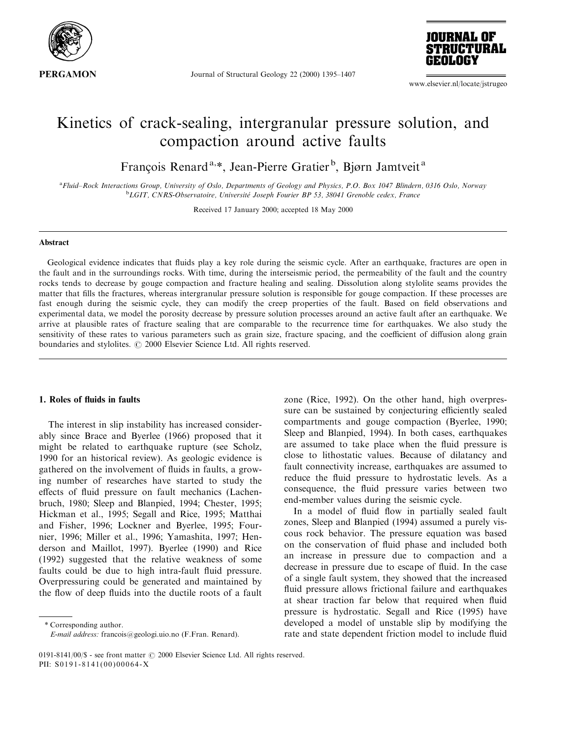

Journal of Structural Geology 22 (2000) 1395-1407



www.elsevier.nl/locate/jstrugeo

# Kinetics of crack-sealing, intergranular pressure solution, and compaction around active faults

François Renard<sup>a,\*</sup>, Jean-Pierre Gratier<sup>b</sup>, Bjørn Jamtveit<sup>a</sup>

a Fluid–Rock Interactions Group, University of Oslo, Departments of Geology and Physics, P.O. Box 1047 Blindern, 0316 Oslo, Norway  $^{b}$ LGIT, CNRS-Observatoire, Université Joseph Fourier BP 53, 38041 Grenoble cedex, France

Received 17 January 2000; accepted 18 May 2000

#### Abstract

Geological evidence indicates that fluids play a key role during the seismic cycle. After an earthquake, fractures are open in the fault and in the surroundings rocks. With time, during the interseismic period, the permeability of the fault and the country rocks tends to decrease by gouge compaction and fracture healing and sealing. Dissolution along stylolite seams provides the matter that fills the fractures, whereas intergranular pressure solution is responsible for gouge compaction. If these processes are fast enough during the seismic cycle, they can modify the creep properties of the fault. Based on field observations and experimental data, we model the porosity decrease by pressure solution processes around an active fault after an earthquake. We arrive at plausible rates of fracture sealing that are comparable to the recurrence time for earthquakes. We also study the sensitivity of these rates to various parameters such as grain size, fracture spacing, and the coefficient of diffusion along grain boundaries and stylolites.  $\odot$  2000 Elsevier Science Ltd. All rights reserved.

# 1. Roles of fluids in faults

The interest in slip instability has increased considerably since Brace and Byerlee (1966) proposed that it might be related to earthquake rupture (see Scholz, 1990 for an historical review). As geologic evidence is gathered on the involvement of fluids in faults, a growing number of researches have started to study the effects of fluid pressure on fault mechanics (Lachenbruch, 1980; Sleep and Blanpied, 1994; Chester, 1995; Hickman et al., 1995; Segall and Rice, 1995; Matthai and Fisher, 1996; Lockner and Byerlee, 1995; Fournier, 1996; Miller et al., 1996; Yamashita, 1997; Henderson and Maillot, 1997). Byerlee (1990) and Rice (1992) suggested that the relative weakness of some faults could be due to high intra-fault fluid pressure. Overpressuring could be generated and maintained by the flow of deep fluids into the ductile roots of a fault

\* Corresponding author. E-mail address: francois@geologi.uio.no (F.Fran. Renard). zone (Rice, 1992). On the other hand, high overpressure can be sustained by conjecturing efficiently sealed compartments and gouge compaction (Byerlee, 1990; Sleep and Blanpied, 1994). In both cases, earthquakes are assumed to take place when the fluid pressure is close to lithostatic values. Because of dilatancy and fault connectivity increase, earthquakes are assumed to reduce the fluid pressure to hydrostatic levels. As a consequence, the fluid pressure varies between two end-member values during the seismic cycle.

In a model of fluid flow in partially sealed fault zones, Sleep and Blanpied (1994) assumed a purely viscous rock behavior. The pressure equation was based on the conservation of fluid phase and included both an increase in pressure due to compaction and a decrease in pressure due to escape of fluid. In the case of a single fault system, they showed that the increased fluid pressure allows frictional failure and earthquakes at shear traction far below that required when fluid pressure is hydrostatic. Segall and Rice (1995) have developed a model of unstable slip by modifying the rate and state dependent friction model to include fluid

<sup>0191-8141/00/\$ -</sup> see front matter  $\odot$  2000 Elsevier Science Ltd. All rights reserved. PII: S0191-8141(00)00064-X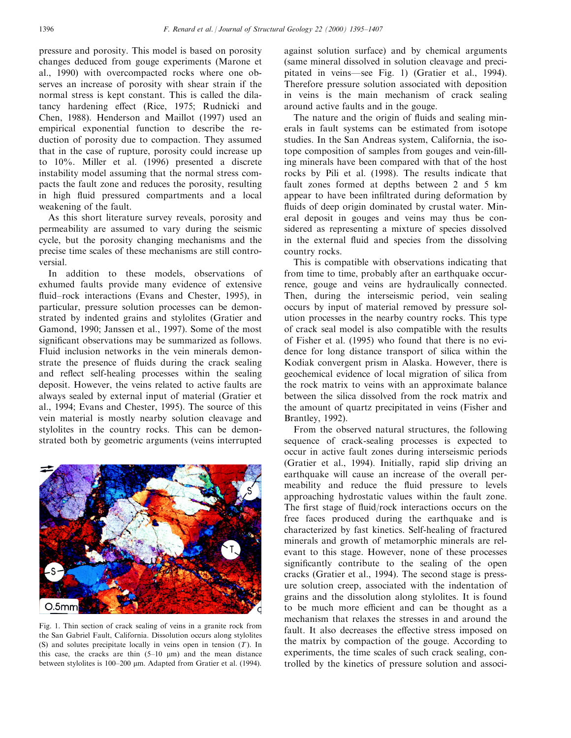pressure and porosity. This model is based on porosity changes deduced from gouge experiments (Marone et al., 1990) with overcompacted rocks where one observes an increase of porosity with shear strain if the normal stress is kept constant. This is called the dilatancy hardening effect (Rice, 1975; Rudnicki and Chen, 1988). Henderson and Maillot (1997) used an empirical exponential function to describe the reduction of porosity due to compaction. They assumed that in the case of rupture, porosity could increase up to 10%. Miller et al. (1996) presented a discrete instability model assuming that the normal stress compacts the fault zone and reduces the porosity, resulting in high fluid pressured compartments and a local weakening of the fault.

As this short literature survey reveals, porosity and permeability are assumed to vary during the seismic cycle, but the porosity changing mechanisms and the precise time scales of these mechanisms are still controversial.

In addition to these models, observations of exhumed faults provide many evidence of extensive fluid–rock interactions (Evans and Chester, 1995), in particular, pressure solution processes can be demonstrated by indented grains and stylolites (Gratier and Gamond, 1990; Janssen et al., 1997). Some of the most significant observations may be summarized as follows. Fluid inclusion networks in the vein minerals demonstrate the presence of fluids during the crack sealing and reflect self-healing processes within the sealing deposit. However, the veins related to active faults are always sealed by external input of material (Gratier et al., 1994; Evans and Chester, 1995). The source of this vein material is mostly nearby solution cleavage and stylolites in the country rocks. This can be demonstrated both by geometric arguments (veins interrupted



Fig. 1. Thin section of crack sealing of veins in a granite rock from the San Gabriel Fault, California. Dissolution occurs along stylolites (S) and solutes precipitate locally in veins open in tension  $(T)$ . In this case, the cracks are thin  $(5-10 \mu m)$  and the mean distance between stylolites is 100–200 μm. Adapted from Gratier et al. (1994).

against solution surface) and by chemical arguments (same mineral dissolved in solution cleavage and precipitated in veins—see Fig. 1) (Gratier et al., 1994). Therefore pressure solution associated with deposition in veins is the main mechanism of crack sealing around active faults and in the gouge.

The nature and the origin of fluids and sealing minerals in fault systems can be estimated from isotope studies. In the San Andreas system, California, the isotope composition of samples from gouges and vein-filling minerals have been compared with that of the host rocks by Pili et al. (1998). The results indicate that fault zones formed at depths between 2 and 5 km appear to have been infiltrated during deformation by fluids of deep origin dominated by crustal water. Mineral deposit in gouges and veins may thus be considered as representing a mixture of species dissolved in the external fluid and species from the dissolving country rocks.

This is compatible with observations indicating that from time to time, probably after an earthquake occurrence, gouge and veins are hydraulically connected. Then, during the interseismic period, vein sealing occurs by input of material removed by pressure solution processes in the nearby country rocks. This type of crack seal model is also compatible with the results of Fisher et al. (1995) who found that there is no evidence for long distance transport of silica within the Kodiak convergent prism in Alaska. However, there is geochemical evidence of local migration of silica from the rock matrix to veins with an approximate balance between the silica dissolved from the rock matrix and the amount of quartz precipitated in veins (Fisher and Brantley, 1992).

From the observed natural structures, the following sequence of crack-sealing processes is expected to occur in active fault zones during interseismic periods (Gratier et al., 1994). Initially, rapid slip driving an earthquake will cause an increase of the overall permeability and reduce the fluid pressure to levels approaching hydrostatic values within the fault zone. The first stage of fluid/rock interactions occurs on the free faces produced during the earthquake and is characterized by fast kinetics. Self-healing of fractured minerals and growth of metamorphic minerals are relevant to this stage. However, none of these processes significantly contribute to the sealing of the open cracks (Gratier et al., 1994). The second stage is pressure solution creep, associated with the indentation of grains and the dissolution along stylolites. It is found to be much more efficient and can be thought as a mechanism that relaxes the stresses in and around the fault. It also decreases the effective stress imposed on the matrix by compaction of the gouge. According to experiments, the time scales of such crack sealing, controlled by the kinetics of pressure solution and associ-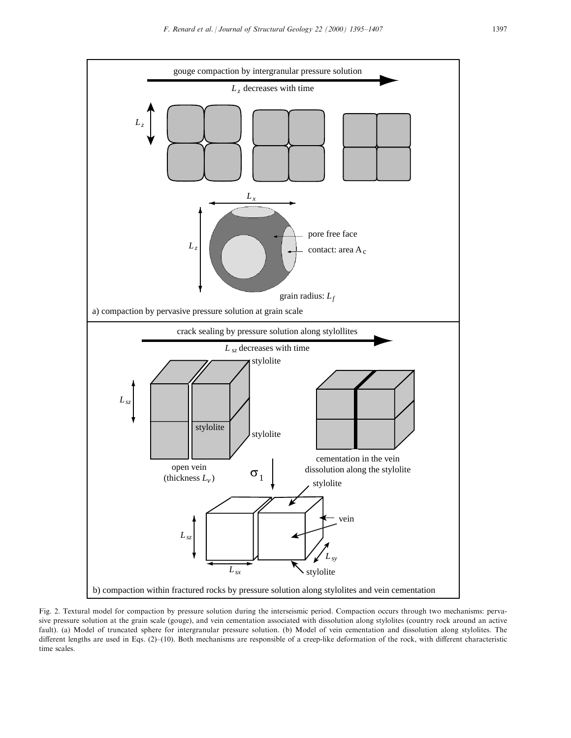

Fig. 2. Textural model for compaction by pressure solution during the interseismic period. Compaction occurs through two mechanisms: pervasive pressure solution at the grain scale (gouge), and vein cementation associated with dissolution along stylolites (country rock around an active fault). (a) Model of truncated sphere for intergranular pressure solution. (b) Model of vein cementation and dissolution along stylolites. The different lengths are used in Eqs. (2)-(10). Both mechanisms are responsible of a creep-like deformation of the rock, with different characteristic time scales.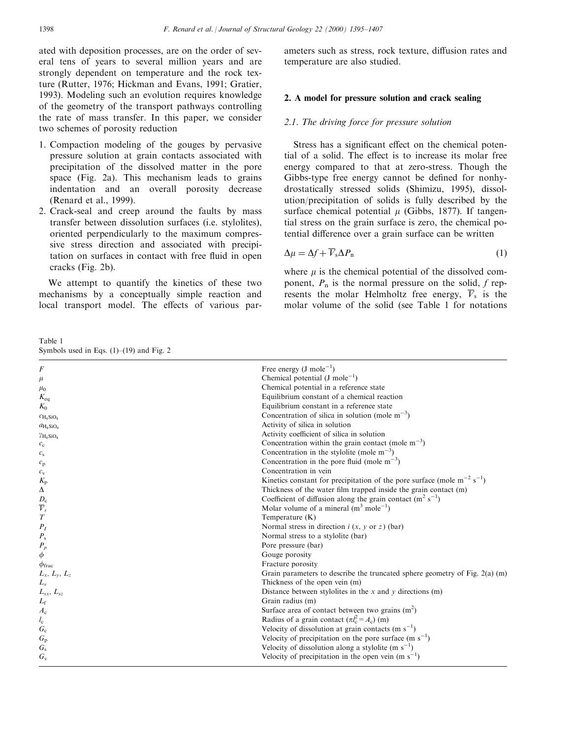ated with deposition processes, are on the order of several tens of years to several million years and are strongly dependent on temperature and the rock texture (Rutter, 1976; Hickman and Evans, 1991; Gratier, 1993). Modeling such an evolution requires knowledge of the geometry of the transport pathways controlling the rate of mass transfer. In this paper, we consider two schemes of porosity reduction

- 1. Compaction modeling of the gouges by pervasive pressure solution at grain contacts associated with precipitation of the dissolved matter in the pore space (Fig. 2a). This mechanism leads to grains indentation and an overall porosity decrease (Renard et al., 1999).
- 2. Crack-seal and creep around the faults by mass transfer between dissolution surfaces (i.e. stylolites), oriented perpendicularly to the maximum compressive stress direction and associated with precipitation on surfaces in contact with free fluid in open cracks (Fig. 2b).

We attempt to quantify the kinetics of these two mechanisms by a conceptually simple reaction and local transport model. The effects of various par-

Table 1 Symbols used in Eqs.  $(1)–(19)$  and Fig. 2

ameters such as stress, rock texture, diffusion rates and temperature are also studied.

## 2. A model for pressure solution and crack sealing

#### 2.1. The driving force for pressure solution

Stress has a significant effect on the chemical potential of a solid. The effect is to increase its molar free energy compared to that at zero-stress. Though the Gibbs-type free energy cannot be defined for nonhydrostatically stressed solids (Shimizu, 1995), dissolution/precipitation of solids is fully described by the surface chemical potential  $\mu$  (Gibbs, 1877). If tangential stress on the grain surface is zero, the chemical potential difference over a grain surface can be written

$$
\Delta \mu = \Delta f + \overline{V}_{\rm s} \Delta P_{\rm n} \tag{1}
$$

where  $\mu$  is the chemical potential of the dissolved component,  $P_n$  is the normal pressure on the solid, f represents the molar Helmholtz free energy,  $\overline{V}_s$  is the molar volume of the solid (see Table 1 for notations

| F                            | Free energy $(J \text{ mole}^{-1})$                                             |
|------------------------------|---------------------------------------------------------------------------------|
| $\mu$                        | Chemical potential $(J \text{ mole}^{-1})$                                      |
| $\mu_0$                      | Chemical potential in a reference state                                         |
| $K_{eq}$                     | Equilibrium constant of a chemical reaction                                     |
| $K_0$                        | Equilibrium constant in a reference state                                       |
| $C_{\text{H}_4\text{SiO}_4}$ | Concentration of silica in solution (mole $m^{-3}$ )                            |
| $a_{\text{H}_4\text{SiO}_4}$ | Activity of silica in solution                                                  |
| $\gamma_{\rm H_4SiO_4}$      | Activity coefficient of silica in solution                                      |
| $c_{\rm c}$                  | Concentration within the grain contact (mole $m^{-3}$ )                         |
| $c_{\rm s}$                  | Concentration in the stylolite (mole $m^{-3}$ )                                 |
| $c_{\rm p}$                  | Concentration in the pore fluid (mole $m^{-3}$ )                                |
| $c_{\rm v}$                  | Concentration in vein                                                           |
| $K_{\rm p}$                  | Kinetics constant for precipitation of the pore surface (mole $m^{-2} s^{-1}$ ) |
| Δ                            | Thickness of the water film trapped inside the grain contact (m)                |
|                              | Coefficient of diffusion along the grain contact $(m^2 s^{-1})$                 |
| $\frac{D_\mathrm{c}}{V_s}$   | Molar volume of a mineral $(m^3 \text{ mole}^{-1})$                             |
| $\boldsymbol{T}$             | Temperature $(K)$                                                               |
| $P_I$                        | Normal stress in direction $i(x, y \text{ or } z)$ (bar)                        |
| $P_{\rm s}$                  | Normal stress to a stylolite (bar)                                              |
| $P_p$                        | Pore pressure (bar)                                                             |
| φ                            | Gouge porosity                                                                  |
| $\phi_{\rm frac}$            | Fracture porosity                                                               |
| $L_x$ , $L_y$ , $L_z$        | Grain parameters to describe the truncated sphere geometry of Fig. 2(a) (m)     |
| $L_{v}$                      | Thickness of the open vein (m)                                                  |
| $L_{sx}$ , $L_{sz}$          | Distance between stylolites in the $x$ and $y$ directions (m)                   |
| $L_{\rm f}$                  | Grain radius (m)                                                                |
| $A_{\rm c}$                  | Surface area of contact between two grains $(m2)$                               |
| $l_{\rm c}$                  | Radius of a grain contact $(\pi l_c^2 = A_c)$ (m)                               |
| $G_{c}$                      | Velocity of dissolution at grain contacts (m $s^{-1}$ )                         |
| $G_{\rm p}$                  | Velocity of precipitation on the pore surface $(m s^{-1})$                      |
| $G_{\rm s}$                  | Velocity of dissolution along a stylolite (m $s^{-1}$ )                         |
| $G_v$                        | Velocity of precipitation in the open vein $(m s^{-1})$                         |
|                              |                                                                                 |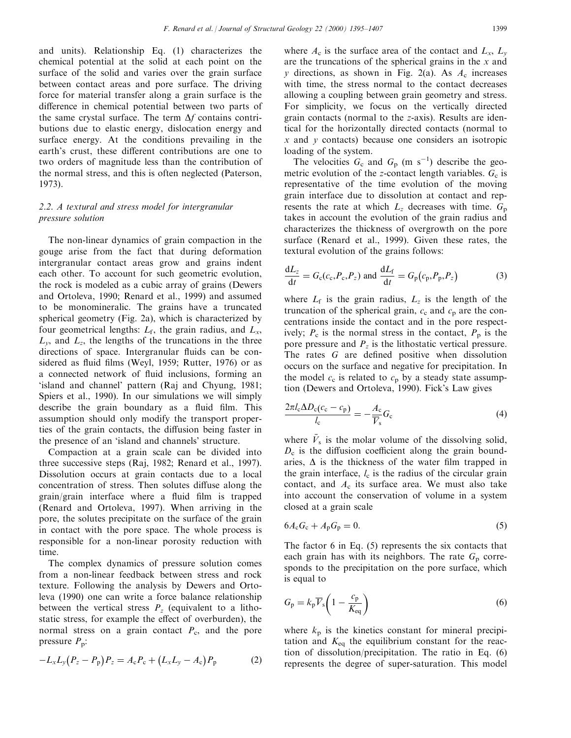and units). Relationship Eq. (1) characterizes the chemical potential at the solid at each point on the surface of the solid and varies over the grain surface between contact areas and pore surface. The driving force for material transfer along a grain surface is the difference in chemical potential between two parts of the same crystal surface. The term  $\Delta f$  contains contributions due to elastic energy, dislocation energy and surface energy. At the conditions prevailing in the earth's crust, these different contributions are one to two orders of magnitude less than the contribution of the normal stress, and this is often neglected (Paterson, 1973).

# 2.2. A textural and stress model for intergranular pressure solution

The non-linear dynamics of grain compaction in the gouge arise from the fact that during deformation intergranular contact areas grow and grains indent each other. To account for such geometric evolution, the rock is modeled as a cubic array of grains (Dewers and Ortoleva, 1990; Renard et al., 1999) and assumed to be monomineralic. The grains have a truncated spherical geometry (Fig. 2a), which is characterized by four geometrical lengths:  $L_f$ , the grain radius, and  $L_x$ ,  $L_v$ , and  $L_z$ , the lengths of the truncations in the three directions of space. Intergranular fluids can be considered as fluid films (Weyl, 1959; Rutter, 1976) or as a connected network of fluid inclusions, forming an `island and channel' pattern (Raj and Chyung, 1981; Spiers et al., 1990). In our simulations we will simply describe the grain boundary as a fluid film. This assumption should only modify the transport properties of the grain contacts, the diffusion being faster in the presence of an `island and channels' structure.

Compaction at a grain scale can be divided into three successive steps (Raj, 1982; Renard et al., 1997). Dissolution occurs at grain contacts due to a local concentration of stress. Then solutes diffuse along the  $grain/grain$  interface where a fluid film is trapped (Renard and Ortoleva, 1997). When arriving in the pore, the solutes precipitate on the surface of the grain in contact with the pore space. The whole process is responsible for a non-linear porosity reduction with time.

The complex dynamics of pressure solution comes from a non-linear feedback between stress and rock texture. Following the analysis by Dewers and Ortoleva (1990) one can write a force balance relationship between the vertical stress  $P_z$  (equivalent to a lithostatic stress, for example the effect of overburden), the normal stress on a grain contact  $P_c$ , and the pore pressure  $P_p$ :

$$
-L_xL_y(P_z-P_p)P_z=A_cP_c+(L_xL_y-A_c)P_p \qquad (2)
$$

where  $A_c$  is the surface area of the contact and  $L_x$ ,  $L_y$ are the truncations of the spherical grains in the  $x$  and y directions, as shown in Fig. 2(a). As  $A_c$  increases with time, the stress normal to the contact decreases allowing a coupling between grain geometry and stress. For simplicity, we focus on the vertically directed grain contacts (normal to the z-axis). Results are identical for the horizontally directed contacts (normal to  $x$  and  $y$  contacts) because one considers an isotropic loading of the system.

The velocities  $G_c$  and  $G_p$  (m s<sup>-1</sup>) describe the geometric evolution of the z-contact length variables.  $G_c$  is representative of the time evolution of the moving grain interface due to dissolution at contact and represents the rate at which  $L_z$  decreases with time.  $G_p$ takes in account the evolution of the grain radius and characterizes the thickness of overgrowth on the pore surface (Renard et al., 1999). Given these rates, the textural evolution of the grains follows:

$$
\frac{dL_z}{dt} = G_c(c_c, P_c, P_z) \text{ and } \frac{dL_f}{dt} = G_p(c_p, P_p, P_z)
$$
 (3)

where  $L_f$  is the grain radius,  $L_z$  is the length of the truncation of the spherical grain,  $c_c$  and  $c_p$  are the concentrations inside the contact and in the pore respectively;  $P_c$  is the normal stress in the contact,  $P_p$  is the pore pressure and  $P_z$  is the lithostatic vertical pressure. The rates  $G$  are defined positive when dissolution occurs on the surface and negative for precipitation. In the model  $c_c$  is related to  $c_p$  by a steady state assumption (Dewers and Ortoleva, 1990). Fick's Law gives

$$
\frac{2\pi l_{\rm c}\Delta D_{\rm c}(c_{\rm c}-c_{\rm p})}{l_{\rm c}}=-\frac{A_{\rm c}}{\overline{V}_{\rm s}}G_{\rm c}\tag{4}
$$

where  $V_s$  is the molar volume of the dissolving solid,  $D_c$  is the diffusion coefficient along the grain boundaries,  $\Delta$  is the thickness of the water film trapped in the grain interface,  $l_c$  is the radius of the circular grain contact, and  $A_c$  its surface area. We must also take into account the conservation of volume in a system closed at a grain scale

$$
6A_{\rm c}G_{\rm c} + A_{\rm p}G_{\rm p} = 0. \tag{5}
$$

The factor 6 in Eq. (5) represents the six contacts that each grain has with its neighbors. The rate  $G_p$  corresponds to the precipitation on the pore surface, which is equal to

$$
G_{\rm p} = k_{\rm p} \overline{V}_{\rm s} \left( 1 - \frac{c_{\rm p}}{K_{\rm eq}} \right) \tag{6}
$$

where  $k_p$  is the kinetics constant for mineral precipitation and  $K_{eq}$  the equilibrium constant for the reaction of dissolution/precipitation. The ratio in Eq. (6) represents the degree of super-saturation. This model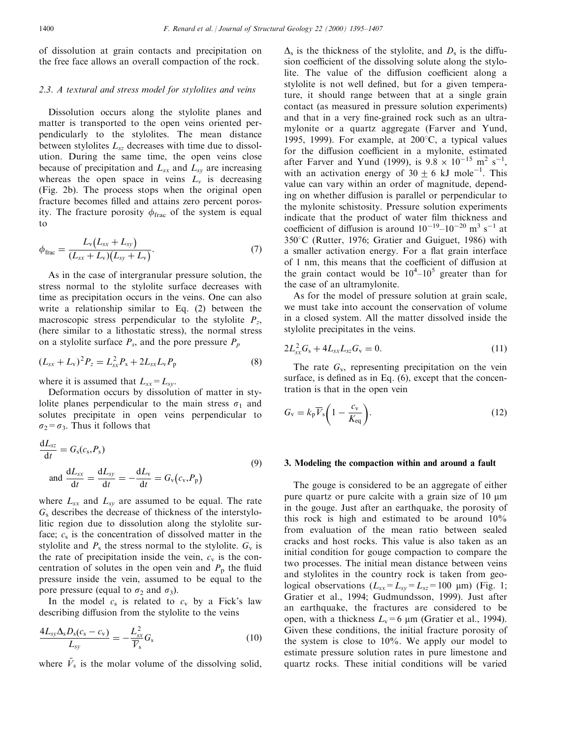of dissolution at grain contacts and precipitation on the free face allows an overall compaction of the rock.

## 2.3. A textural and stress model for stylolites and veins

Dissolution occurs along the stylolite planes and matter is transported to the open veins oriented perpendicularly to the stylolites. The mean distance between stylolites  $L_{sz}$  decreases with time due to dissolution. During the same time, the open veins close because of precipitation and  $L_{sx}$  and  $L_{sy}$  are increasing whereas the open space in veins  $L<sub>v</sub>$  is decreasing (Fig. 2b). The process stops when the original open fracture becomes filled and attains zero percent porosity. The fracture porosity  $\phi_{\text{frac}}$  of the system is equal to

$$
\phi_{\text{frac}} = \frac{L_{\text{v}}(L_{sx} + L_{sy})}{(L_{sx} + L_{\text{v}})(L_{sy} + L_{\text{v}})}.
$$
\n(7)

As in the case of intergranular pressure solution, the stress normal to the stylolite surface decreases with time as precipitation occurs in the veins. One can also write a relationship similar to Eq. (2) between the macroscopic stress perpendicular to the stylolite  $P_z$ , (here similar to a lithostatic stress), the normal stress on a stylolite surface  $P_s$ , and the pore pressure  $P_p$ 

$$
(L_{sx} + L_{v})^{2} P_{z} = L_{sx}^{2} P_{s} + 2L_{sx}L_{v}P_{p}
$$
\n(8)

where it is assumed that  $L_{sx}=L_{sy}$ .

Deformation occurs by dissolution of matter in stylolite planes perpendicular to the main stress  $\sigma_1$  and solutes precipitate in open veins perpendicular to  $\sigma_2 = \sigma_3$ . Thus it follows that

$$
\frac{dL_{sz}}{dt} = G_s(c_s, P_s)
$$
\n
$$
\text{and } \frac{dL_{sx}}{dt} = \frac{dL_{sy}}{dt} = -\frac{dL_v}{dt} = G_v(c_v, P_p)
$$
\n(9)

where  $L_{sx}$  and  $L_{sy}$  are assumed to be equal. The rate  $G<sub>s</sub>$  describes the decrease of thickness of the interstylolitic region due to dissolution along the stylolite surface;  $c_s$  is the concentration of dissolved matter in the stylolite and  $P_s$  the stress normal to the stylolite.  $G_v$  is the rate of precipitation inside the vein,  $c_v$  is the concentration of solutes in the open vein and  $P<sub>p</sub>$  the fluid pressure inside the vein, assumed to be equal to the pore pressure (equal to  $\sigma_2$  and  $\sigma_3$ ).

In the model  $c_s$  is related to  $c_v$  by a Fick's law describing diffusion from the stylolite to the veins

$$
\frac{4L_{sy}\Delta_{s}D_{s}(c_{s}-c_{v})}{L_{sy}}=-\frac{L_{sx}^{2}}{\overline{V}_{s}}G_{s}
$$
\n(10)

where  $\bar{V}_s$  is the molar volume of the dissolving solid,

 $\Delta$ <sub>s</sub> is the thickness of the stylolite, and  $D_s$  is the diffusion coefficient of the dissolving solute along the stylolite. The value of the diffusion coefficient along a stylolite is not well defined, but for a given temperature, it should range between that at a single grain contact (as measured in pressure solution experiments) and that in a very fine-grained rock such as an ultramylonite or a quartz aggregate (Farver and Yund, 1995, 1999). For example, at  $200^{\circ}$ C, a typical values for the diffusion coefficient in a mylonite, estimated after Farver and Yund (1999), is  $9.8 \times 10^{-15}$  m<sup>2</sup> s<sup>-1</sup>, with an activation energy of  $30 \pm 6$  kJ mole<sup>-1</sup>. This value can vary within an order of magnitude, depending on whether diffusion is parallel or perpendicular to the mylonite schistosity. Pressure solution experiments indicate that the product of water film thickness and coefficient of diffusion is around  $10^{-19} - 10^{-20}$  m<sup>3</sup> s<sup>-1</sup> at 350°C (Rutter, 1976; Gratier and Guiguet, 1986) with a smaller activation energy. For a flat grain interface of 1 nm, this means that the coefficient of diffusion at the grain contact would be  $10^4 - 10^5$  greater than for the case of an ultramylonite.

As for the model of pressure solution at grain scale, we must take into account the conservation of volume in a closed system. All the matter dissolved inside the stylolite precipitates in the veins.

$$
2L_{sx}^{2}G_{s} + 4L_{sx}L_{sz}G_{v} = 0.
$$
 (11)

The rate  $G_v$ , representing precipitation on the vein surface, is defined as in Eq.  $(6)$ , except that the concentration is that in the open vein

$$
G_{\rm v} = k_{\rm p} \overline{V}_{\rm s} \bigg( 1 - \frac{c_{\rm v}}{K_{\rm eq}} \bigg). \tag{12}
$$

#### 3. Modeling the compaction within and around a fault

The gouge is considered to be an aggregate of either pure quartz or pure calcite with a grain size of 10  $\mu$ m in the gouge. Just after an earthquake, the porosity of this rock is high and estimated to be around 10% from evaluation of the mean ratio between sealed cracks and host rocks. This value is also taken as an initial condition for gouge compaction to compare the two processes. The initial mean distance between veins and stylolites in the country rock is taken from geological observations  $(L_{sx} = L_{sy} = L_{sz} = 100 \text{ }\mu\text{m})$  (Fig. 1; Gratier et al., 1994; Gudmundsson, 1999). Just after an earthquake, the fractures are considered to be open, with a thickness  $L_v=6 \mu m$  (Gratier et al., 1994). Given these conditions, the initial fracture porosity of the system is close to 10%. We apply our model to estimate pressure solution rates in pure limestone and quartz rocks. These initial conditions will be varied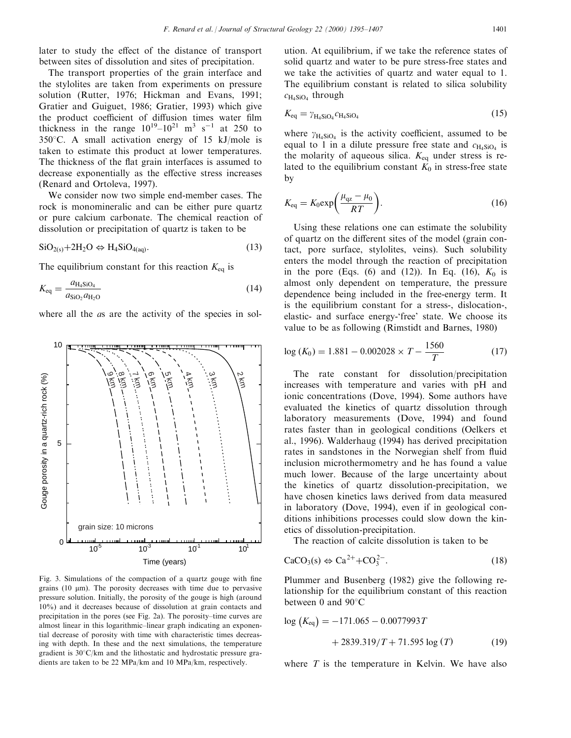later to study the effect of the distance of transport between sites of dissolution and sites of precipitation.

The transport properties of the grain interface and the stylolites are taken from experiments on pressure solution (Rutter, 1976; Hickman and Evans, 1991; Gratier and Guiguet, 1986; Gratier, 1993) which give the product coefficient of diffusion times water film thickness in the range  $10^{19} - 10^{21}$  m<sup>3</sup> s<sup>-1</sup> at 250 to 350 $^{\circ}$ C. A small activation energy of 15 kJ/mole is taken to estimate this product at lower temperatures. The thickness of the flat grain interfaces is assumed to decrease exponentially as the effective stress increases (Renard and Ortoleva, 1997).

We consider now two simple end-member cases. The rock is monomineralic and can be either pure quartz or pure calcium carbonate. The chemical reaction of dissolution or precipitation of quartz is taken to be

$$
SiO_{2(s)} + 2H_2O \Leftrightarrow H_4SiO_{4(aq)}.\tag{13}
$$

The equilibrium constant for this reaction  $K_{eq}$  is

$$
K_{\text{eq}} = \frac{a_{\text{H}_4\text{SiO}_4}}{a_{\text{SiO}_2} a_{\text{H}_2\text{O}}} \tag{14}
$$

where all the *as* are the activity of the species in sol-



Fig. 3. Simulations of the compaction of a quartz gouge with fine grains  $(10 \mu m)$ . The porosity decreases with time due to pervasive pressure solution. Initially, the porosity of the gouge is high (around 10%) and it decreases because of dissolution at grain contacts and precipitation in the pores (see Fig. 2a). The porosity-time curves are almost linear in this logarithmic-linear graph indicating an exponential decrease of porosity with time with characteristic times decreasing with depth. In these and the next simulations, the temperature gradient is  $30^{\circ}$ C/km and the lithostatic and hydrostatic pressure gradients are taken to be 22 MPa/km and 10 MPa/km, respectively.

ution. At equilibrium, if we take the reference states of solid quartz and water to be pure stress-free states and we take the activities of quartz and water equal to 1. The equilibrium constant is related to silica solubility  $c_{\text{H}_4\text{SiO}_4}$  through

$$
K_{\text{eq}} = \gamma_{\text{H}_4\text{SiO}_4} c_{\text{H}_4\text{SiO}_4} \tag{15}
$$

where  $\gamma_{H_4SiO_4}$  is the activity coefficient, assumed to be equal to 1 in a dilute pressure free state and  $c_{H_4SiO_4}$  is the molarity of aqueous silica.  $K_{eq}$  under stress is related to the equilibrium constant  $K_0$  in stress-free state by

$$
K_{\text{eq}} = K_0 \exp\left(\frac{\mu_{\text{qz}} - \mu_0}{RT}\right). \tag{16}
$$

Using these relations one can estimate the solubility of quartz on the different sites of the model (grain contact, pore surface, stylolites, veins). Such solubility enters the model through the reaction of precipitation in the pore (Eqs. (6) and (12)). In Eq. (16),  $K_0$  is almost only dependent on temperature, the pressure dependence being included in the free-energy term. It is the equilibrium constant for a stress-, dislocation-, elastic- and surface energy-`free' state. We choose its value to be as following (Rimstidt and Barnes, 1980)

$$
\log (K_0) = 1.881 - 0.002028 \times T - \frac{1560}{T}
$$
 (17)

The rate constant for dissolution/precipitation increases with temperature and varies with pH and ionic concentrations (Dove, 1994). Some authors have evaluated the kinetics of quartz dissolution through laboratory measurements (Dove, 1994) and found rates faster than in geological conditions (Oelkers et al., 1996). Walderhaug (1994) has derived precipitation rates in sandstones in the Norwegian shelf from fluid inclusion microthermometry and he has found a value much lower. Because of the large uncertainty about the kinetics of quartz dissolution-precipitation, we have chosen kinetics laws derived from data measured in laboratory (Dove, 1994), even if in geological conditions inhibitions processes could slow down the kinetics of dissolution-precipitation.

The reaction of calcite dissolution is taken to be

$$
\text{CaCO}_3(\text{s}) \Leftrightarrow \text{Ca}^{2+} + \text{CO}_3^{2-}.\tag{18}
$$

Plummer and Busenberg (1982) give the following relationship for the equilibrium constant of this reaction between 0 and  $90^{\circ}$ C

$$
\log (K_{\text{eq}}) = -171.065 - 0.0077993T
$$
  
+ 2839.319/T + 71.595 log (T) (19)

where  $T$  is the temperature in Kelvin. We have also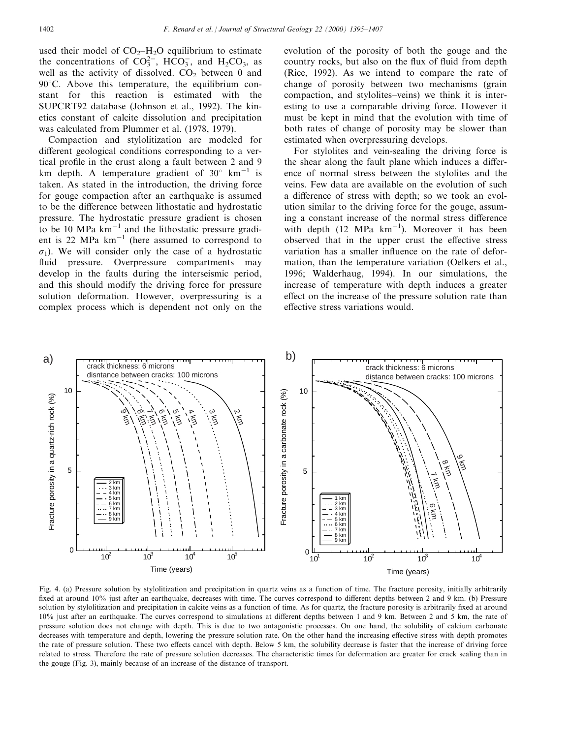used their model of  $CO<sub>2</sub>–H<sub>2</sub>O$  equilibrium to estimate the concentrations of  $CO_3^{2-}$ , HCO<sub>3</sub>, and H<sub>2</sub>CO<sub>3</sub>, as well as the activity of dissolved.  $CO<sub>2</sub>$  between 0 and  $90^{\circ}$ C. Above this temperature, the equilibrium constant for this reaction is estimated with the SUPCRT92 database (Johnson et al., 1992). The kinetics constant of calcite dissolution and precipitation was calculated from Plummer et al. (1978, 1979).

Compaction and stylolitization are modeled for different geological conditions corresponding to a vertical profile in the crust along a fault between 2 and 9 km depth. A temperature gradient of  $30^{\circ}$  km<sup>-1</sup> is taken. As stated in the introduction, the driving force for gouge compaction after an earthquake is assumed to be the difference between lithostatic and hydrostatic pressure. The hydrostatic pressure gradient is chosen to be 10 MPa  $km^{-1}$  and the lithostatic pressure gradient is 22 MPa  $km^{-1}$  (here assumed to correspond to  $\sigma_1$ ). We will consider only the case of a hydrostatic fluid pressure. Overpressure compartments may develop in the faults during the interseismic period, and this should modify the driving force for pressure solution deformation. However, overpressuring is a complex process which is dependent not only on the evolution of the porosity of both the gouge and the country rocks, but also on the flux of fluid from depth (Rice, 1992). As we intend to compare the rate of change of porosity between two mechanisms (grain compaction, and stylolites–veins) we think it is interesting to use a comparable driving force. However it must be kept in mind that the evolution with time of both rates of change of porosity may be slower than estimated when overpressuring develops.

For stylolites and vein-sealing the driving force is the shear along the fault plane which induces a difference of normal stress between the stylolites and the veins. Few data are available on the evolution of such a difference of stress with depth; so we took an evolution similar to the driving force for the gouge, assuming a constant increase of the normal stress difference with depth  $(12 \text{ MPa km}^{-1})$ . Moreover it has been observed that in the upper crust the effective stress variation has a smaller influence on the rate of deformation, than the temperature variation (Oelkers et al., 1996; Walderhaug, 1994). In our simulations, the increase of temperature with depth induces a greater effect on the increase of the pressure solution rate than effective stress variations would.



Fig. 4. (a) Pressure solution by stylolitization and precipitation in quartz veins as a function of time. The fracture porosity, initially arbitrarily fixed at around 10% just after an earthquake, decreases with time. The curves correspond to different depths between 2 and 9 km. (b) Pressure solution by stylolitization and precipitation in calcite veins as a function of time. As for quartz, the fracture porosity is arbitrarily fixed at around 10% just after an earthquake. The curves correspond to simulations at dierent depths between 1 and 9 km. Between 2 and 5 km, the rate of pressure solution does not change with depth. This is due to two antagonistic processes. On one hand, the solubility of calcium carbonate decreases with temperature and depth, lowering the pressure solution rate. On the other hand the increasing effective stress with depth promotes the rate of pressure solution. These two effects cancel with depth. Below 5 km, the solubility decrease is faster that the increase of driving force related to stress. Therefore the rate of pressure solution decreases. The characteristic times for deformation are greater for crack sealing than in the gouge (Fig. 3), mainly because of an increase of the distance of transport.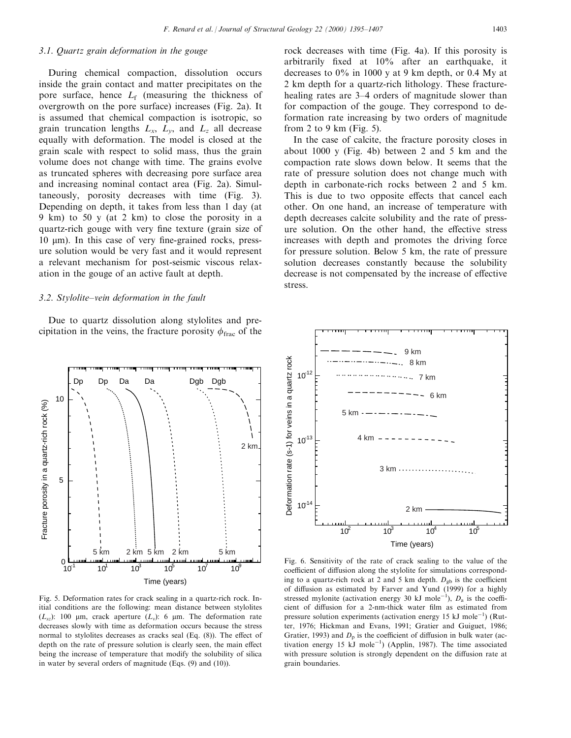## 3.1. Quartz grain deformation in the gouge

During chemical compaction, dissolution occurs inside the grain contact and matter precipitates on the pore surface, hence  $L_f$  (measuring the thickness of overgrowth on the pore surface) increases (Fig. 2a). It is assumed that chemical compaction is isotropic, so grain truncation lengths  $L_x$ ,  $L_y$ , and  $L_z$  all decrease equally with deformation. The model is closed at the grain scale with respect to solid mass, thus the grain volume does not change with time. The grains evolve as truncated spheres with decreasing pore surface area and increasing nominal contact area (Fig. 2a). Simultaneously, porosity decreases with time (Fig. 3). Depending on depth, it takes from less than 1 day (at 9 km) to 50 y (at 2 km) to close the porosity in a quartz-rich gouge with very fine texture (grain size of  $10 \mu m$ ). In this case of very fine-grained rocks, pressure solution would be very fast and it would represent a relevant mechanism for post-seismic viscous relaxation in the gouge of an active fault at depth.

## $3.2.$  Stylolite-vein deformation in the fault

Due to quartz dissolution along stylolites and precipitation in the veins, the fracture porosity  $\phi_{\text{frac}}$  of the



Fig. 5. Deformation rates for crack sealing in a quartz-rich rock. Initial conditions are the following: mean distance between stylolites  $(L_{sz})$ : 100 µm, crack aperture  $(L_v)$ : 6 µm. The deformation rate decreases slowly with time as deformation occurs because the stress normal to stylolites decreases as cracks seal (Eq.  $(8)$ ). The effect of depth on the rate of pressure solution is clearly seen, the main effect being the increase of temperature that modify the solubility of silica in water by several orders of magnitude (Eqs. (9) and (10)).

rock decreases with time (Fig. 4a). If this porosity is arbitrarily fixed at 10% after an earthquake, it decreases to 0% in 1000 y at 9 km depth, or 0.4 My at 2 km depth for a quartz-rich lithology. These fracturehealing rates are 3–4 orders of magnitude slower than for compaction of the gouge. They correspond to deformation rate increasing by two orders of magnitude from 2 to 9 km (Fig. 5).

In the case of calcite, the fracture porosity closes in about 1000 y (Fig. 4b) between 2 and 5 km and the compaction rate slows down below. It seems that the rate of pressure solution does not change much with depth in carbonate-rich rocks between 2 and 5 km. This is due to two opposite effects that cancel each other. On one hand, an increase of temperature with depth decreases calcite solubility and the rate of pressure solution. On the other hand, the effective stress increases with depth and promotes the driving force for pressure solution. Below 5 km, the rate of pressure solution decreases constantly because the solubility decrease is not compensated by the increase of effective stress.



Fig. 6. Sensitivity of the rate of crack sealing to the value of the coefficient of diffusion along the stylolite for simulations corresponding to a quartz-rich rock at 2 and 5 km depth.  $D_{gb}$  is the coefficient of diffusion as estimated by Farver and Yund (1999) for a highly stressed mylonite (activation energy 30 kJ mole<sup>-1</sup>),  $D_a$  is the coefficient of diffusion for a 2-nm-thick water film as estimated from pressure solution experiments (activation energy 15 kJ mole<sup>-1</sup>) (Rutter, 1976; Hickman and Evans, 1991; Gratier and Guiguet, 1986; Gratier, 1993) and  $D<sub>p</sub>$  is the coefficient of diffusion in bulk water (activation energy 15  $kJ$  mole<sup>-1</sup>) (Applin, 1987). The time associated with pressure solution is strongly dependent on the diffusion rate at grain boundaries.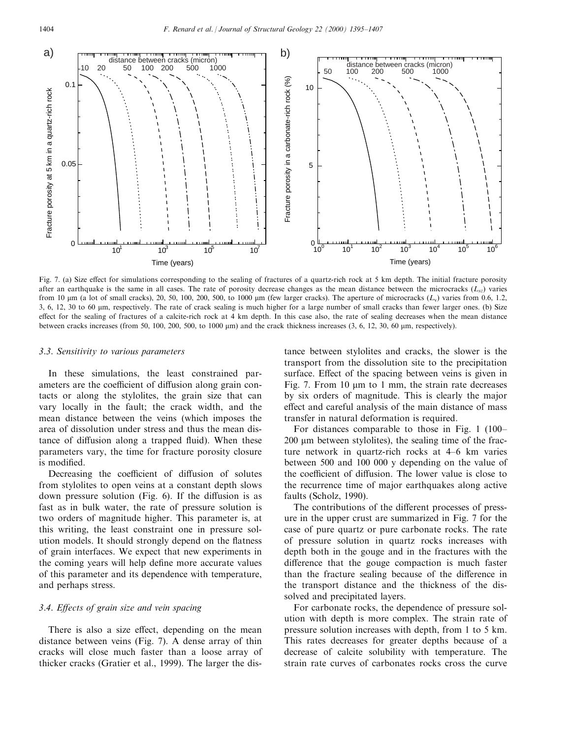

Fig. 7. (a) Size effect for simulations corresponding to the sealing of fractures of a quartz-rich rock at 5 km depth. The initial fracture porosity after an earthquake is the same in all cases. The rate of porosity decrease changes as the mean distance between the microcracks  $(L_{sz})$  varies from 10  $\mu$ m (a lot of small cracks), 20, 50, 100, 200, 500, to 1000  $\mu$ m (few larger cracks). The aperture of microcracks ( $L_v$ ) varies from 0.6, 1.2, 3, 6, 12, 30 to 60 mm, respectively. The rate of crack sealing is much higher for a large number of small cracks than fewer larger ones. (b) Size effect for the sealing of fractures of a calcite-rich rock at 4 km depth. In this case also, the rate of sealing decreases when the mean distance between cracks increases (from 50, 100, 200, 500, to 1000  $\mu$ m) and the crack thickness increases (3, 6, 12, 30, 60  $\mu$ m, respectively).

#### 3.3. Sensitivity to various parameters

In these simulations, the least constrained parameters are the coefficient of diffusion along grain contacts or along the stylolites, the grain size that can vary locally in the fault; the crack width, and the mean distance between the veins (which imposes the area of dissolution under stress and thus the mean distance of diffusion along a trapped fluid). When these parameters vary, the time for fracture porosity closure is modified.

Decreasing the coefficient of diffusion of solutes from stylolites to open veins at a constant depth slows down pressure solution (Fig.  $6$ ). If the diffusion is as fast as in bulk water, the rate of pressure solution is two orders of magnitude higher. This parameter is, at this writing, the least constraint one in pressure solution models. It should strongly depend on the flatness of grain interfaces. We expect that new experiments in the coming years will help define more accurate values of this parameter and its dependence with temperature, and perhaps stress.

# 3.4. Effects of grain size and vein spacing

There is also a size effect, depending on the mean distance between veins (Fig. 7). A dense array of thin cracks will close much faster than a loose array of thicker cracks (Gratier et al., 1999). The larger the dis-

tance between stylolites and cracks, the slower is the transport from the dissolution site to the precipitation surface. Effect of the spacing between veins is given in Fig. 7. From 10  $\mu$ m to 1 mm, the strain rate decreases by six orders of magnitude. This is clearly the major effect and careful analysis of the main distance of mass transfer in natural deformation is required.

For distances comparable to those in Fig.  $1(100 200 \mu m$  between stylolites), the sealing time of the fracture network in quartz-rich rocks at  $4-6$  km varies between 500 and 100 000 y depending on the value of the coefficient of diffusion. The lower value is close to the recurrence time of major earthquakes along active faults (Scholz, 1990).

The contributions of the different processes of pressure in the upper crust are summarized in Fig. 7 for the case of pure quartz or pure carbonate rocks. The rate of pressure solution in quartz rocks increases with depth both in the gouge and in the fractures with the difference that the gouge compaction is much faster than the fracture sealing because of the difference in the transport distance and the thickness of the dissolved and precipitated layers.

For carbonate rocks, the dependence of pressure solution with depth is more complex. The strain rate of pressure solution increases with depth, from 1 to 5 km. This rates decreases for greater depths because of a decrease of calcite solubility with temperature. The strain rate curves of carbonates rocks cross the curve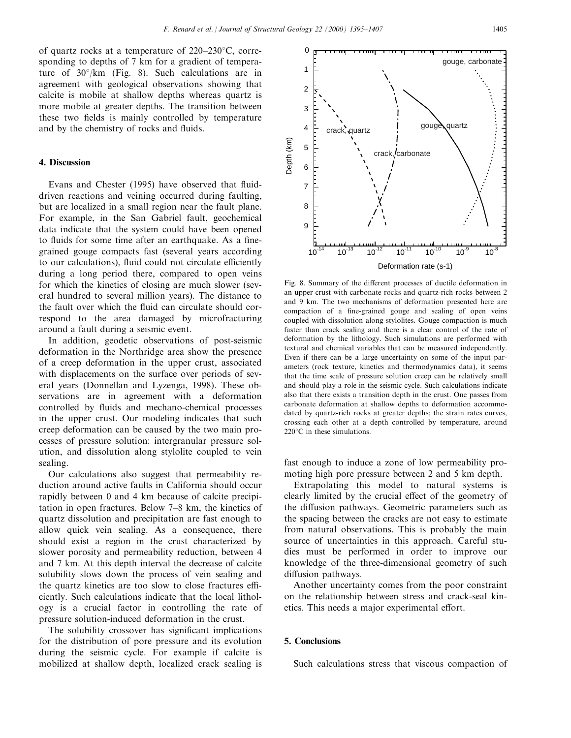of quartz rocks at a temperature of  $220-230^{\circ}$ C, corresponding to depths of 7 km for a gradient of temperature of  $30^{\circ}/km$  (Fig. 8). Such calculations are in agreement with geological observations showing that calcite is mobile at shallow depths whereas quartz is more mobile at greater depths. The transition between these two fields is mainly controlled by temperature and by the chemistry of rocks and fluids.

## 4. Discussion

Evans and Chester (1995) have observed that fluiddriven reactions and veining occurred during faulting, but are localized in a small region near the fault plane. For example, in the San Gabriel fault, geochemical data indicate that the system could have been opened to fluids for some time after an earthquake. As a finegrained gouge compacts fast (several years according to our calculations), fluid could not circulate efficiently during a long period there, compared to open veins for which the kinetics of closing are much slower (several hundred to several million years). The distance to the fault over which the fluid can circulate should correspond to the area damaged by microfracturing around a fault during a seismic event.

In addition, geodetic observations of post-seismic deformation in the Northridge area show the presence of a creep deformation in the upper crust, associated with displacements on the surface over periods of several years (Donnellan and Lyzenga, 1998). These observations are in agreement with a deformation controlled by fluids and mechano-chemical processes in the upper crust. Our modeling indicates that such creep deformation can be caused by the two main processes of pressure solution: intergranular pressure solution, and dissolution along stylolite coupled to vein sealing.

Our calculations also suggest that permeability reduction around active faults in California should occur rapidly between 0 and 4 km because of calcite precipitation in open fractures. Below  $7-8$  km, the kinetics of quartz dissolution and precipitation are fast enough to allow quick vein sealing. As a consequence, there should exist a region in the crust characterized by slower porosity and permeability reduction, between 4 and 7 km. At this depth interval the decrease of calcite solubility slows down the process of vein sealing and the quartz kinetics are too slow to close fractures efficiently. Such calculations indicate that the local lithology is a crucial factor in controlling the rate of pressure solution-induced deformation in the crust.

The solubility crossover has significant implications for the distribution of pore pressure and its evolution during the seismic cycle. For example if calcite is mobilized at shallow depth, localized crack sealing is



Fig. 8. Summary of the different processes of ductile deformation in an upper crust with carbonate rocks and quartz-rich rocks between 2 and 9 km. The two mechanisms of deformation presented here are compaction of a fine-grained gouge and sealing of open veins coupled with dissolution along stylolites. Gouge compaction is much faster than crack sealing and there is a clear control of the rate of deformation by the lithology. Such simulations are performed with textural and chemical variables that can be measured independently. Even if there can be a large uncertainty on some of the input parameters (rock texture, kinetics and thermodynamics data), it seems that the time scale of pressure solution creep can be relatively small and should play a role in the seismic cycle. Such calculations indicate also that there exists a transition depth in the crust. One passes from carbonate deformation at shallow depths to deformation accommodated by quartz-rich rocks at greater depths; the strain rates curves, crossing each other at a depth controlled by temperature, around  $220^{\circ}$ C in these simulations.

fast enough to induce a zone of low permeability promoting high pore pressure between 2 and 5 km depth.

Extrapolating this model to natural systems is clearly limited by the crucial effect of the geometry of the diffusion pathways. Geometric parameters such as the spacing between the cracks are not easy to estimate from natural observations. This is probably the main source of uncertainties in this approach. Careful studies must be performed in order to improve our knowledge of the three-dimensional geometry of such diffusion pathways.

Another uncertainty comes from the poor constraint on the relationship between stress and crack-seal kinetics. This needs a major experimental effort.

#### 5. Conclusions

Such calculations stress that viscous compaction of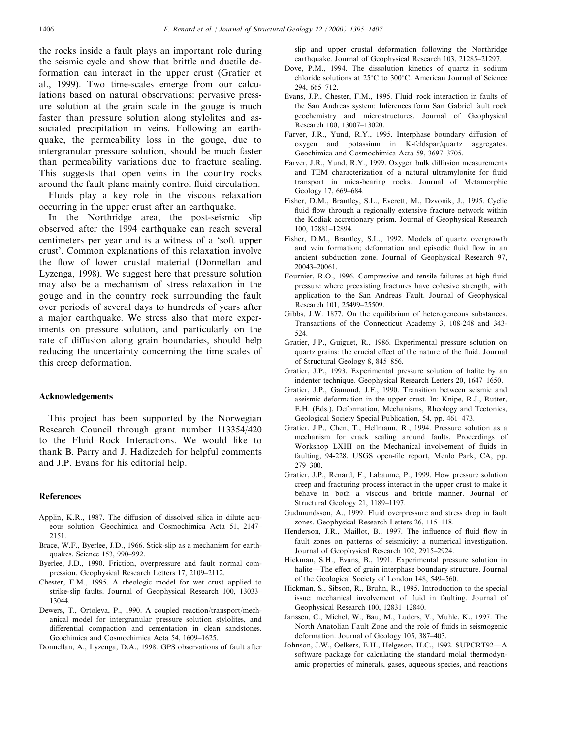the rocks inside a fault plays an important role during the seismic cycle and show that brittle and ductile deformation can interact in the upper crust (Gratier et al., 1999). Two time-scales emerge from our calculations based on natural observations: pervasive pressure solution at the grain scale in the gouge is much faster than pressure solution along stylolites and associated precipitation in veins. Following an earthquake, the permeability loss in the gouge, due to intergranular pressure solution, should be much faster than permeability variations due to fracture sealing. This suggests that open veins in the country rocks around the fault plane mainly control fluid circulation.

Fluids play a key role in the viscous relaxation occurring in the upper crust after an earthquake.

In the Northridge area, the post-seismic slip observed after the 1994 earthquake can reach several centimeters per year and is a witness of a `soft upper crust'. Common explanations of this relaxation involve the flow of lower crustal material (Donnellan and Lyzenga, 1998). We suggest here that pressure solution may also be a mechanism of stress relaxation in the gouge and in the country rock surrounding the fault over periods of several days to hundreds of years after a major earthquake. We stress also that more experiments on pressure solution, and particularly on the rate of diffusion along grain boundaries, should help reducing the uncertainty concerning the time scales of this creep deformation.

#### Acknowledgements

This project has been supported by the Norwegian Research Council through grant number 113354/420 to the Fluid-Rock Interactions. We would like to thank B. Parry and J. Hadizedeh for helpful comments and J.P. Evans for his editorial help.

#### References

- Applin, K.R., 1987. The diffusion of dissolved silica in dilute aqueous solution. Geochimica and Cosmochimica Acta 51, 2147-2151.
- Brace, W.F., Byerlee, J.D., 1966. Stick-slip as a mechanism for earthquakes. Science 153, 990-992.
- Byerlee, J.D., 1990. Friction, overpressure and fault normal compression. Geophysical Research Letters 17, 2109-2112.
- Chester, F.M., 1995. A rheologic model for wet crust applied to strike-slip faults. Journal of Geophysical Research 100, 13033-13044.
- Dewers, T., Ortoleva, P., 1990. A coupled reaction/transport/mechanical model for intergranular pressure solution stylolites, and differential compaction and cementation in clean sandstones. Geochimica and Cosmochimica Acta 54, 1609-1625.
- Donnellan, A., Lyzenga, D.A., 1998. GPS observations of fault after

slip and upper crustal deformation following the Northridge earthquake. Journal of Geophysical Research 103, 21285-21297.

- Dove, P.M., 1994. The dissolution kinetics of quartz in sodium chloride solutions at  $25^{\circ}$ C to  $300^{\circ}$ C. American Journal of Science 294, 665±712.
- Evans, J.P., Chester, F.M., 1995. Fluid-rock interaction in faults of the San Andreas system: Inferences form San Gabriel fault rock geochemistry and microstructures. Journal of Geophysical Research 100, 13007-13020.
- Farver, J.R., Yund, R.Y., 1995. Interphase boundary diffusion of oxygen and potassium in K-feldspar/quartz aggregates. Geochimica and Cosmochimica Acta 59, 3697-3705.
- Farver, J.R., Yund, R.Y., 1999. Oxygen bulk diffusion measurements and TEM characterization of a natural ultramylonite for fluid transport in mica-bearing rocks. Journal of Metamorphic Geology 17, 669-684.
- Fisher, D.M., Brantley, S.L., Everett, M., Dzvonik, J., 1995. Cyclic fluid flow through a regionally extensive fracture network within the Kodiak accretionary prism. Journal of Geophysical Research 100, 12881±12894.
- Fisher, D.M., Brantley, S.L., 1992. Models of quartz overgrowth and vein formation; deformation and episodic fluid flow in an ancient subduction zone. Journal of Geophysical Research 97, 20043±20061.
- Fournier, R.O., 1996. Compressive and tensile failures at high fluid pressure where preexisting fractures have cohesive strength, with application to the San Andreas Fault. Journal of Geophysical Research 101, 25499-25509.
- Gibbs, J.W. 1877. On the equilibrium of heterogeneous substances. Transactions of the Connecticut Academy 3, 108-248 and 343- 524.
- Gratier, J.P., Guiguet, R., 1986. Experimental pressure solution on quartz grains: the crucial effect of the nature of the fluid. Journal of Structural Geology 8, 845–856.
- Gratier, J.P., 1993. Experimental pressure solution of halite by an indenter technique. Geophysical Research Letters 20, 1647-1650.
- Gratier, J.P., Gamond, J.F., 1990. Transition between seismic and aseismic deformation in the upper crust. In: Knipe, R.J., Rutter, E.H. (Eds.), Deformation, Mechanisms, Rheology and Tectonics, Geological Society Special Publication, 54, pp. 461-473.
- Gratier, J.P., Chen, T., Hellmann, R., 1994. Pressure solution as a mechanism for crack sealing around faults, Proceedings of Workshop LXIII on the Mechanical involvement of fluids in faulting, 94-228. USGS open-file report, Menlo Park, CA, pp. 279±300.
- Gratier, J.P., Renard, F., Labaume, P., 1999. How pressure solution creep and fracturing process interact in the upper crust to make it behave in both a viscous and brittle manner. Journal of Structural Geology 21, 1189-1197.
- Gudmundsson, A., 1999. Fluid overpressure and stress drop in fault zones. Geophysical Research Letters 26, 115-118.
- Henderson, J.R., Maillot, B., 1997. The influence of fluid flow in fault zones on patterns of seismicity: a numerical investigation. Journal of Geophysical Research 102, 2915-2924.
- Hickman, S.H., Evans, B., 1991. Experimental pressure solution in halite—The effect of grain interphase boundary structure. Journal of the Geological Society of London 148, 549-560.
- Hickman, S., Sibson, R., Bruhn, R., 1995. Introduction to the special issue: mechanical involvement of fluid in faulting. Journal of Geophysical Research 100, 12831-12840.
- Janssen, C., Michel, W., Bau, M., Luders, V., Muhle, K., 1997. The North Anatolian Fault Zone and the role of fluids in seismogenic deformation. Journal of Geology 105, 387-403.
- Johnson, J.W., Oelkers, E.H., Helgeson, H.C., 1992. SUPCRT92-A software package for calculating the standard molal thermodynamic properties of minerals, gases, aqueous species, and reactions